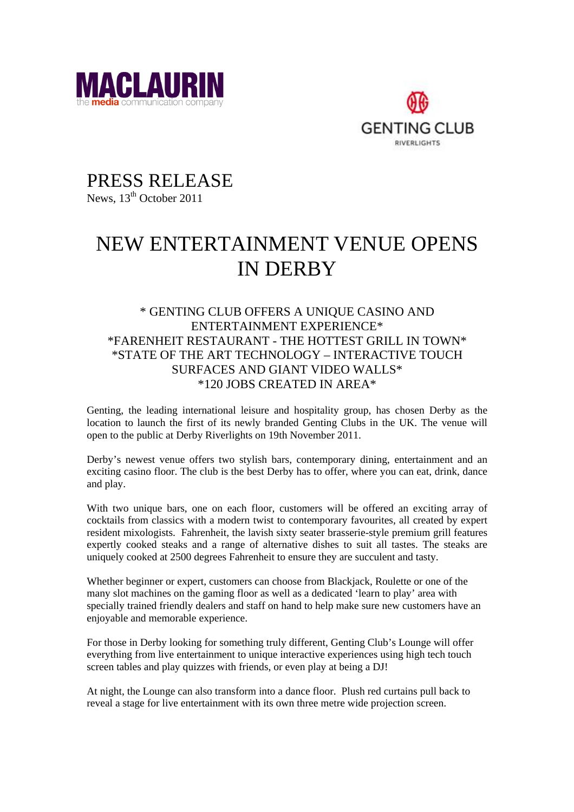



PRESS RELEASE News,  $13<sup>th</sup>$  October 2011

## NEW ENTERTAINMENT VENUE OPENS IN DERBY

## \* GENTING CLUB OFFERS A UNIQUE CASINO AND ENTERTAINMENT EXPERIENCE\* \*FARENHEIT RESTAURANT - THE HOTTEST GRILL IN TOWN\* \*STATE OF THE ART TECHNOLOGY – INTERACTIVE TOUCH SURFACES AND GIANT VIDEO WALLS\* \*120 JOBS CREATED IN AREA\*

Genting, the leading international leisure and hospitality group, has chosen Derby as the location to launch the first of its newly branded Genting Clubs in the UK. The venue will open to the public at Derby Riverlights on 19th November 2011.

Derby's newest venue offers two stylish bars, contemporary dining, entertainment and an exciting casino floor. The club is the best Derby has to offer, where you can eat, drink, dance and play.

With two unique bars, one on each floor, customers will be offered an exciting array of cocktails from classics with a modern twist to contemporary favourites, all created by expert resident mixologists. Fahrenheit, the lavish sixty seater brasserie-style premium grill features expertly cooked steaks and a range of alternative dishes to suit all tastes. The steaks are uniquely cooked at 2500 degrees Fahrenheit to ensure they are succulent and tasty.

Whether beginner or expert, customers can choose from Blackjack, Roulette or one of the many slot machines on the gaming floor as well as a dedicated 'learn to play' area with specially trained friendly dealers and staff on hand to help make sure new customers have an enjoyable and memorable experience.

For those in Derby looking for something truly different, Genting Club's Lounge will offer everything from live entertainment to unique interactive experiences using high tech touch screen tables and play quizzes with friends, or even play at being a DJ!

At night, the Lounge can also transform into a dance floor. Plush red curtains pull back to reveal a stage for live entertainment with its own three metre wide projection screen.